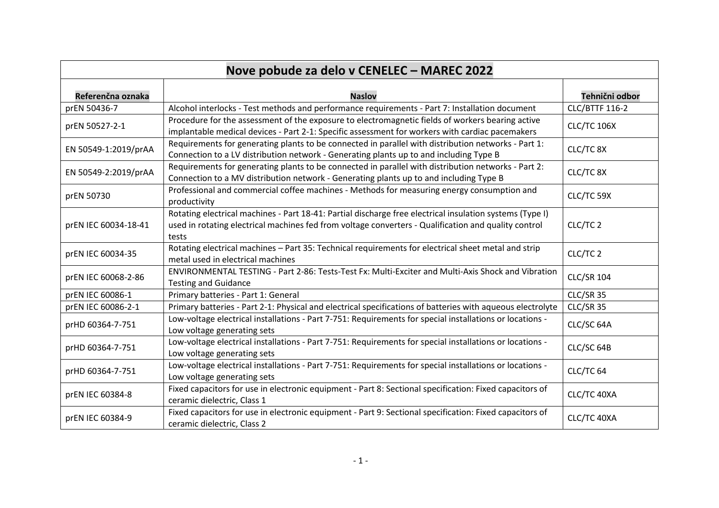| Nove pobude za delo v CENELEC - MAREC 2022 |                                                                                                                                                                                                                           |                       |
|--------------------------------------------|---------------------------------------------------------------------------------------------------------------------------------------------------------------------------------------------------------------------------|-----------------------|
| Referenčna oznaka                          | <b>Naslov</b>                                                                                                                                                                                                             | Tehnični odbor        |
| prEN 50436-7                               | Alcohol interlocks - Test methods and performance requirements - Part 7: Installation document                                                                                                                            | <b>CLC/BTTF 116-2</b> |
| prEN 50527-2-1                             | Procedure for the assessment of the exposure to electromagnetic fields of workers bearing active<br>implantable medical devices - Part 2-1: Specific assessment for workers with cardiac pacemakers                       | <b>CLC/TC 106X</b>    |
| EN 50549-1:2019/prAA                       | Requirements for generating plants to be connected in parallel with distribution networks - Part 1:<br>Connection to a LV distribution network - Generating plants up to and including Type B                             | CLC/TC 8X             |
| EN 50549-2:2019/prAA                       | Requirements for generating plants to be connected in parallel with distribution networks - Part 2:<br>Connection to a MV distribution network - Generating plants up to and including Type B                             | CLC/TC 8X             |
| prEN 50730                                 | Professional and commercial coffee machines - Methods for measuring energy consumption and<br>productivity                                                                                                                | CLC/TC 59X            |
| prEN IEC 60034-18-41                       | Rotating electrical machines - Part 18-41: Partial discharge free electrical insulation systems (Type I)<br>used in rotating electrical machines fed from voltage converters - Qualification and quality control<br>tests | CLC/TC 2              |
| prEN IEC 60034-35                          | Rotating electrical machines - Part 35: Technical requirements for electrical sheet metal and strip<br>metal used in electrical machines                                                                                  | CLC/TC <sub>2</sub>   |
| prEN IEC 60068-2-86                        | ENVIRONMENTAL TESTING - Part 2-86: Tests-Test Fx: Multi-Exciter and Multi-Axis Shock and Vibration<br><b>Testing and Guidance</b>                                                                                         | <b>CLC/SR 104</b>     |
| prEN IEC 60086-1                           | Primary batteries - Part 1: General                                                                                                                                                                                       | CLC/SR 35             |
| prEN IEC 60086-2-1                         | Primary batteries - Part 2-1: Physical and electrical specifications of batteries with aqueous electrolyte                                                                                                                | CLC/SR 35             |
| prHD 60364-7-751                           | Low-voltage electrical installations - Part 7-751: Requirements for special installations or locations -<br>Low voltage generating sets                                                                                   | CLC/SC 64A            |
| prHD 60364-7-751                           | Low-voltage electrical installations - Part 7-751: Requirements for special installations or locations -<br>Low voltage generating sets                                                                                   | CLC/SC 64B            |
| prHD 60364-7-751                           | Low-voltage electrical installations - Part 7-751: Requirements for special installations or locations -<br>Low voltage generating sets                                                                                   | CLC/TC <sub>64</sub>  |
| prEN IEC 60384-8                           | Fixed capacitors for use in electronic equipment - Part 8: Sectional specification: Fixed capacitors of<br>ceramic dielectric, Class 1                                                                                    | CLC/TC 40XA           |
| prEN IEC 60384-9                           | Fixed capacitors for use in electronic equipment - Part 9: Sectional specification: Fixed capacitors of<br>ceramic dielectric, Class 2                                                                                    | CLC/TC 40XA           |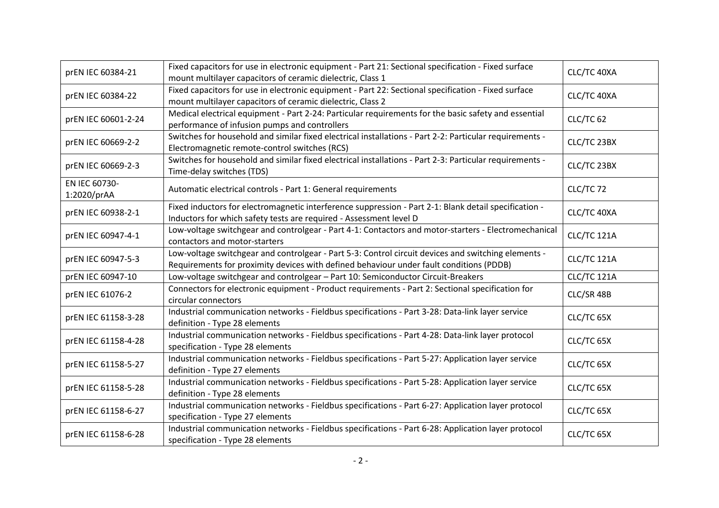| prEN IEC 60384-21            | Fixed capacitors for use in electronic equipment - Part 21: Sectional specification - Fixed surface<br>mount multilayer capacitors of ceramic dielectric, Class 1                              | CLC/TC 40XA |
|------------------------------|------------------------------------------------------------------------------------------------------------------------------------------------------------------------------------------------|-------------|
| prEN IEC 60384-22            | Fixed capacitors for use in electronic equipment - Part 22: Sectional specification - Fixed surface<br>mount multilayer capacitors of ceramic dielectric, Class 2                              | CLC/TC 40XA |
| prEN IEC 60601-2-24          | Medical electrical equipment - Part 2-24: Particular requirements for the basic safety and essential<br>performance of infusion pumps and controllers                                          | CLC/TC 62   |
| prEN IEC 60669-2-2           | Switches for household and similar fixed electrical installations - Part 2-2: Particular requirements -<br>Electromagnetic remote-control switches (RCS)                                       | CLC/TC 23BX |
| prEN IEC 60669-2-3           | Switches for household and similar fixed electrical installations - Part 2-3: Particular requirements -<br>Time-delay switches (TDS)                                                           | CLC/TC 23BX |
| EN IEC 60730-<br>1:2020/prAA | Automatic electrical controls - Part 1: General requirements                                                                                                                                   | CLC/TC 72   |
| prEN IEC 60938-2-1           | Fixed inductors for electromagnetic interference suppression - Part 2-1: Blank detail specification -<br>Inductors for which safety tests are required - Assessment level D                    | CLC/TC 40XA |
| prEN IEC 60947-4-1           | Low-voltage switchgear and controlgear - Part 4-1: Contactors and motor-starters - Electromechanical<br>contactors and motor-starters                                                          | CLC/TC 121A |
| prEN IEC 60947-5-3           | Low-voltage switchgear and controlgear - Part 5-3: Control circuit devices and switching elements -<br>Requirements for proximity devices with defined behaviour under fault conditions (PDDB) | CLC/TC 121A |
| prEN IEC 60947-10            | Low-voltage switchgear and controlgear - Part 10: Semiconductor Circuit-Breakers                                                                                                               | CLC/TC 121A |
| prEN IEC 61076-2             | Connectors for electronic equipment - Product requirements - Part 2: Sectional specification for<br>circular connectors                                                                        | CLC/SR 48B  |
| prEN IEC 61158-3-28          | Industrial communication networks - Fieldbus specifications - Part 3-28: Data-link layer service<br>definition - Type 28 elements                                                              | CLC/TC 65X  |
| prEN IEC 61158-4-28          | Industrial communication networks - Fieldbus specifications - Part 4-28: Data-link layer protocol<br>specification - Type 28 elements                                                          | CLC/TC 65X  |
| prEN IEC 61158-5-27          | Industrial communication networks - Fieldbus specifications - Part 5-27: Application layer service<br>definition - Type 27 elements                                                            | CLC/TC 65X  |
| prEN IEC 61158-5-28          | Industrial communication networks - Fieldbus specifications - Part 5-28: Application layer service<br>definition - Type 28 elements                                                            | CLC/TC 65X  |
| prEN IEC 61158-6-27          | Industrial communication networks - Fieldbus specifications - Part 6-27: Application layer protocol<br>specification - Type 27 elements                                                        | CLC/TC 65X  |
| prEN IEC 61158-6-28          | Industrial communication networks - Fieldbus specifications - Part 6-28: Application layer protocol<br>specification - Type 28 elements                                                        | CLC/TC 65X  |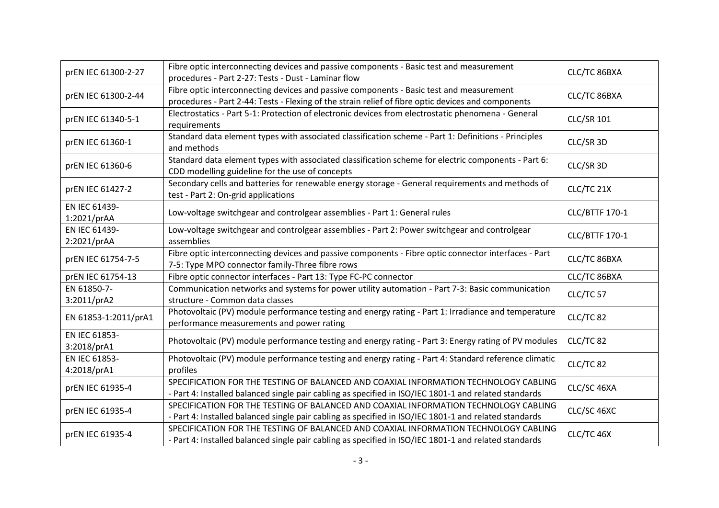| prEN IEC 61300-2-27          | Fibre optic interconnecting devices and passive components - Basic test and measurement<br>procedures - Part 2-27: Tests - Dust - Laminar flow                                                | CLC/TC 86BXA          |
|------------------------------|-----------------------------------------------------------------------------------------------------------------------------------------------------------------------------------------------|-----------------------|
| prEN IEC 61300-2-44          | Fibre optic interconnecting devices and passive components - Basic test and measurement<br>procedures - Part 2-44: Tests - Flexing of the strain relief of fibre optic devices and components | CLC/TC 86BXA          |
| prEN IEC 61340-5-1           | Electrostatics - Part 5-1: Protection of electronic devices from electrostatic phenomena - General<br>requirements                                                                            | <b>CLC/SR 101</b>     |
| prEN IEC 61360-1             | Standard data element types with associated classification scheme - Part 1: Definitions - Principles<br>and methods                                                                           | CLC/SR 3D             |
| prEN IEC 61360-6             | Standard data element types with associated classification scheme for electric components - Part 6:<br>CDD modelling guideline for the use of concepts                                        | CLC/SR 3D             |
| prEN IEC 61427-2             | Secondary cells and batteries for renewable energy storage - General requirements and methods of<br>test - Part 2: On-grid applications                                                       | CLC/TC 21X            |
| EN IEC 61439-<br>1:2021/prAA | Low-voltage switchgear and controlgear assemblies - Part 1: General rules                                                                                                                     | <b>CLC/BTTF 170-1</b> |
| EN IEC 61439-<br>2:2021/prAA | Low-voltage switchgear and controlgear assemblies - Part 2: Power switchgear and controlgear<br>assemblies                                                                                    | CLC/BTTF 170-1        |
| prEN IEC 61754-7-5           | Fibre optic interconnecting devices and passive components - Fibre optic connector interfaces - Part<br>7-5: Type MPO connector family-Three fibre rows                                       | CLC/TC 86BXA          |
| prEN IEC 61754-13            | Fibre optic connector interfaces - Part 13: Type FC-PC connector                                                                                                                              | CLC/TC 86BXA          |
| EN 61850-7-<br>3:2011/prA2   | Communication networks and systems for power utility automation - Part 7-3: Basic communication<br>structure - Common data classes                                                            | CLC/TC 57             |
| EN 61853-1:2011/prA1         | Photovoltaic (PV) module performance testing and energy rating - Part 1: Irradiance and temperature<br>performance measurements and power rating                                              | CLC/TC 82             |
| EN IEC 61853-<br>3:2018/prA1 | Photovoltaic (PV) module performance testing and energy rating - Part 3: Energy rating of PV modules                                                                                          | CLC/TC 82             |
| EN IEC 61853-<br>4:2018/prA1 | Photovoltaic (PV) module performance testing and energy rating - Part 4: Standard reference climatic<br>profiles                                                                              | CLC/TC 82             |
| prEN IEC 61935-4             | SPECIFICATION FOR THE TESTING OF BALANCED AND COAXIAL INFORMATION TECHNOLOGY CABLING<br>- Part 4: Installed balanced single pair cabling as specified in ISO/IEC 1801-1 and related standards | CLC/SC 46XA           |
| prEN IEC 61935-4             | SPECIFICATION FOR THE TESTING OF BALANCED AND COAXIAL INFORMATION TECHNOLOGY CABLING<br>- Part 4: Installed balanced single pair cabling as specified in ISO/IEC 1801-1 and related standards | CLC/SC 46XC           |
| prEN IEC 61935-4             | SPECIFICATION FOR THE TESTING OF BALANCED AND COAXIAL INFORMATION TECHNOLOGY CABLING<br>- Part 4: Installed balanced single pair cabling as specified in ISO/IEC 1801-1 and related standards | CLC/TC 46X            |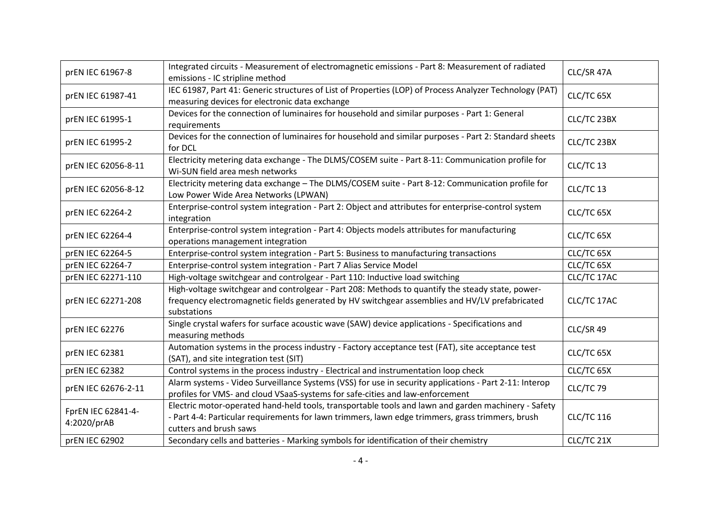| prEN IEC 61967-8                  | Integrated circuits - Measurement of electromagnetic emissions - Part 8: Measurement of radiated<br>emissions - IC stripline method                                                                                               | CLC/SR 47A        |
|-----------------------------------|-----------------------------------------------------------------------------------------------------------------------------------------------------------------------------------------------------------------------------------|-------------------|
| prEN IEC 61987-41                 | IEC 61987, Part 41: Generic structures of List of Properties (LOP) of Process Analyzer Technology (PAT)<br>measuring devices for electronic data exchange                                                                         | CLC/TC 65X        |
| prEN IEC 61995-1                  | Devices for the connection of luminaires for household and similar purposes - Part 1: General<br>requirements                                                                                                                     | CLC/TC 23BX       |
| prEN IEC 61995-2                  | Devices for the connection of luminaires for household and similar purposes - Part 2: Standard sheets<br>for DCL                                                                                                                  | CLC/TC 23BX       |
| prEN IEC 62056-8-11               | Electricity metering data exchange - The DLMS/COSEM suite - Part 8-11: Communication profile for<br>Wi-SUN field area mesh networks                                                                                               | CLC/TC 13         |
| prEN IEC 62056-8-12               | Electricity metering data exchange - The DLMS/COSEM suite - Part 8-12: Communication profile for<br>Low Power Wide Area Networks (LPWAN)                                                                                          | CLC/TC 13         |
| prEN IEC 62264-2                  | Enterprise-control system integration - Part 2: Object and attributes for enterprise-control system<br>integration                                                                                                                | CLC/TC 65X        |
| prEN IEC 62264-4                  | Enterprise-control system integration - Part 4: Objects models attributes for manufacturing<br>operations management integration                                                                                                  | CLC/TC 65X        |
| prEN IEC 62264-5                  | Enterprise-control system integration - Part 5: Business to manufacturing transactions                                                                                                                                            | CLC/TC 65X        |
| prEN IEC 62264-7                  | Enterprise-control system integration - Part 7 Alias Service Model                                                                                                                                                                | CLC/TC 65X        |
| prEN IEC 62271-110                | High-voltage switchgear and controlgear - Part 110: Inductive load switching                                                                                                                                                      | CLC/TC 17AC       |
| prEN IEC 62271-208                | High-voltage switchgear and controlgear - Part 208: Methods to quantify the steady state, power-<br>frequency electromagnetic fields generated by HV switchgear assemblies and HV/LV prefabricated<br>substations                 | CLC/TC 17AC       |
| prEN IEC 62276                    | Single crystal wafers for surface acoustic wave (SAW) device applications - Specifications and<br>measuring methods                                                                                                               | CLC/SR 49         |
| prEN IEC 62381                    | Automation systems in the process industry - Factory acceptance test (FAT), site acceptance test<br>(SAT), and site integration test (SIT)                                                                                        | CLC/TC 65X        |
| prEN IEC 62382                    | Control systems in the process industry - Electrical and instrumentation loop check                                                                                                                                               | CLC/TC 65X        |
| prEN IEC 62676-2-11               | Alarm systems - Video Surveillance Systems (VSS) for use in security applications - Part 2-11: Interop<br>profiles for VMS- and cloud VSaaS-systems for safe-cities and law-enforcement                                           | CLC/TC 79         |
| FprEN IEC 62841-4-<br>4:2020/prAB | Electric motor-operated hand-held tools, transportable tools and lawn and garden machinery - Safety<br>- Part 4-4: Particular requirements for lawn trimmers, lawn edge trimmers, grass trimmers, brush<br>cutters and brush saws | <b>CLC/TC 116</b> |
| prEN IEC 62902                    | Secondary cells and batteries - Marking symbols for identification of their chemistry                                                                                                                                             | CLC/TC 21X        |